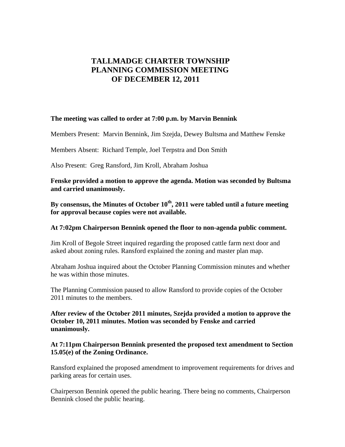# **TALLMADGE CHARTER TOWNSHIP PLANNING COMMISSION MEETING OF DECEMBER 12, 2011**

#### **The meeting was called to order at 7:00 p.m. by Marvin Bennink**

Members Present: Marvin Bennink, Jim Szejda, Dewey Bultsma and Matthew Fenske

Members Absent: Richard Temple, Joel Terpstra and Don Smith

Also Present: Greg Ransford, Jim Kroll, Abraham Joshua

**Fenske provided a motion to approve the agenda. Motion was seconded by Bultsma and carried unanimously.** 

By consensus, the Minutes of October 10<sup>th</sup>, 2011 were tabled until a future meeting **for approval because copies were not available.** 

#### **At 7:02pm Chairperson Bennink opened the floor to non-agenda public comment.**

Jim Kroll of Begole Street inquired regarding the proposed cattle farm next door and asked about zoning rules. Ransford explained the zoning and master plan map.

Abraham Joshua inquired about the October Planning Commission minutes and whether he was within those minutes.

The Planning Commission paused to allow Ransford to provide copies of the October 2011 minutes to the members.

**After review of the October 2011 minutes, Szejda provided a motion to approve the October 10, 2011 minutes. Motion was seconded by Fenske and carried unanimously.** 

#### **At 7:11pm Chairperson Bennink presented the proposed text amendment to Section 15.05(e) of the Zoning Ordinance.**

Ransford explained the proposed amendment to improvement requirements for drives and parking areas for certain uses.

Chairperson Bennink opened the public hearing. There being no comments, Chairperson Bennink closed the public hearing.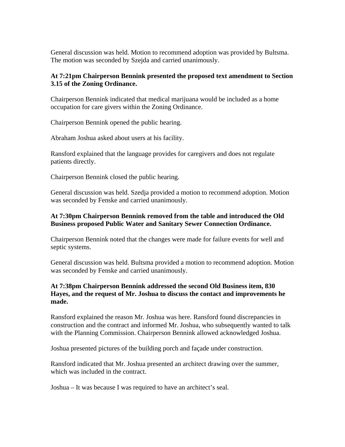General discussion was held. Motion to recommend adoption was provided by Bultsma. The motion was seconded by Szejda and carried unanimously.

# **At 7:21pm Chairperson Bennink presented the proposed text amendment to Section 3.15 of the Zoning Ordinance.**

Chairperson Bennink indicated that medical marijuana would be included as a home occupation for care givers within the Zoning Ordinance.

Chairperson Bennink opened the public hearing.

Abraham Joshua asked about users at his facility.

Ransford explained that the language provides for caregivers and does not regulate patients directly.

Chairperson Bennink closed the public hearing.

General discussion was held. Szedja provided a motion to recommend adoption. Motion was seconded by Fenske and carried unanimously.

#### **At 7:30pm Chairperson Bennink removed from the table and introduced the Old Business proposed Public Water and Sanitary Sewer Connection Ordinance.**

Chairperson Bennink noted that the changes were made for failure events for well and septic systems.

General discussion was held. Bultsma provided a motion to recommend adoption. Motion was seconded by Fenske and carried unanimously.

### **At 7:38pm Chairperson Bennink addressed the second Old Business item, 830 Hayes, and the request of Mr. Joshua to discuss the contact and improvements he made.**

Ransford explained the reason Mr. Joshua was here. Ransford found discrepancies in construction and the contract and informed Mr. Joshua, who subsequently wanted to talk with the Planning Commission. Chairperson Bennink allowed acknowledged Joshua.

Joshua presented pictures of the building porch and façade under construction.

Ransford indicated that Mr. Joshua presented an architect drawing over the summer, which was included in the contract.

Joshua – It was because I was required to have an architect's seal.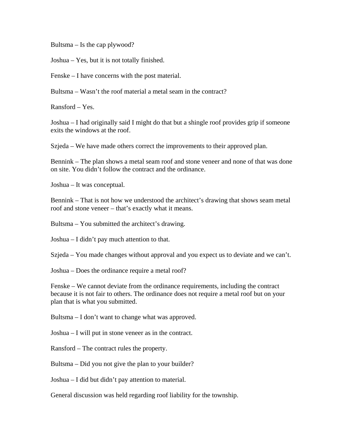Bultsma – Is the cap plywood?

Joshua – Yes, but it is not totally finished.

Fenske – I have concerns with the post material.

Bultsma – Wasn't the roof material a metal seam in the contract?

Ransford – Yes.

Joshua – I had originally said I might do that but a shingle roof provides grip if someone exits the windows at the roof.

Szjeda – We have made others correct the improvements to their approved plan.

Bennink – The plan shows a metal seam roof and stone veneer and none of that was done on site. You didn't follow the contract and the ordinance.

Joshua – It was conceptual.

Bennink – That is not how we understood the architect's drawing that shows seam metal roof and stone veneer – that's exactly what it means.

Bultsma – You submitted the architect's drawing.

Joshua – I didn't pay much attention to that.

Szjeda – You made changes without approval and you expect us to deviate and we can't.

Joshua – Does the ordinance require a metal roof?

Fenske – We cannot deviate from the ordinance requirements, including the contract because it is not fair to others. The ordinance does not require a metal roof but on your plan that is what you submitted.

Bultsma – I don't want to change what was approved.

Joshua – I will put in stone veneer as in the contract.

Ransford – The contract rules the property.

Bultsma – Did you not give the plan to your builder?

Joshua – I did but didn't pay attention to material.

General discussion was held regarding roof liability for the township.